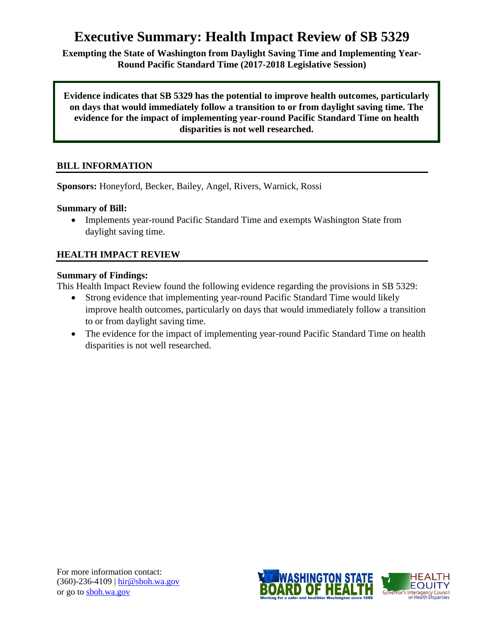# **Executive Summary: Health Impact Review of SB 5329**

**Exempting the State of Washington from Daylight Saving Time and Implementing Year-Round Pacific Standard Time (2017-2018 Legislative Session)**

**Evidence indicates that SB 5329 has the potential to improve health outcomes, particularly on days that would immediately follow a transition to or from daylight saving time. The evidence for the impact of implementing year-round Pacific Standard Time on health disparities is not well researched.**

# **BILL INFORMATION**

**Sponsors:** Honeyford, Becker, Bailey, Angel, Rivers, Warnick, Rossi

#### **Summary of Bill:**

• Implements year-round Pacific Standard Time and exempts Washington State from daylight saving time.

# **HEALTH IMPACT REVIEW**

#### **Summary of Findings:**

This Health Impact Review found the following evidence regarding the provisions in SB 5329:

- Strong evidence that implementing year-round Pacific Standard Time would likely improve health outcomes, particularly on days that would immediately follow a transition to or from daylight saving time.
- The evidence for the impact of implementing year-round Pacific Standard Time on health disparities is not well researched.

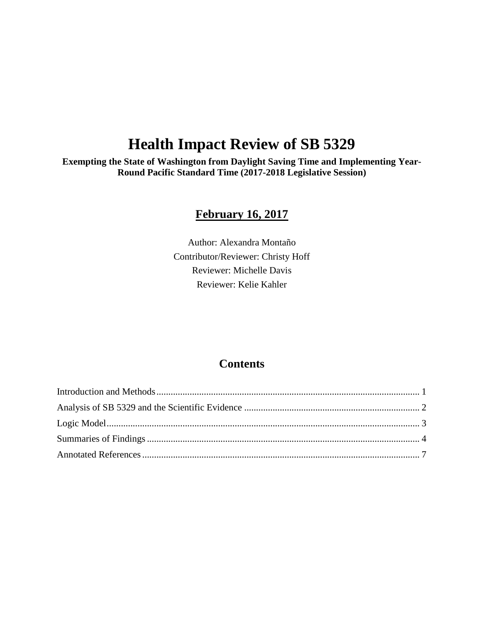# **Health Impact Review of SB 5329**

**Exempting the State of Washington from Daylight Saving Time and Implementing Year-Round Pacific Standard Time (2017-2018 Legislative Session)**

# **February 16, 2017**

Author: Alexandra Montaño Contributor/Reviewer: Christy Hoff Reviewer: Michelle Davis Reviewer: Kelie Kahler

# **Contents**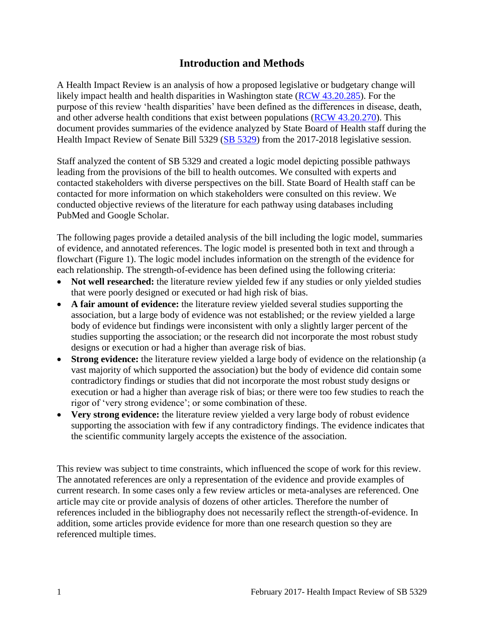# **Introduction and Methods**

<span id="page-2-0"></span>A Health Impact Review is an analysis of how a proposed legislative or budgetary change will likely impact health and health disparities in Washington state [\(RCW 43.20.285\)](http://apps.leg.wa.gov/rcw/default.aspx?cite=43.20.285). For the purpose of this review 'health disparities' have been defined as the differences in disease, death, and other adverse health conditions that exist between populations [\(RCW 43.20.270\)](http://apps.leg.wa.gov/rcw/default.aspx?cite=43.20.270). This document provides summaries of the evidence analyzed by State Board of Health staff during the Health Impact Review of Senate Bill 5329 [\(SB 5329\)](http://lawfilesext.leg.wa.gov/biennium/2017-18/Pdf/Bills/Senate%20Bills/5329.pdf) from the 2017-2018 legislative session.

Staff analyzed the content of SB 5329 and created a logic model depicting possible pathways leading from the provisions of the bill to health outcomes. We consulted with experts and contacted stakeholders with diverse perspectives on the bill. State Board of Health staff can be contacted for more information on which stakeholders were consulted on this review. We conducted objective reviews of the literature for each pathway using databases including PubMed and Google Scholar.

The following pages provide a detailed analysis of the bill including the logic model, summaries of evidence, and annotated references. The logic model is presented both in text and through a flowchart (Figure 1). The logic model includes information on the strength of the evidence for each relationship. The strength-of-evidence has been defined using the following criteria:

- **Not well researched:** the literature review yielded few if any studies or only yielded studies that were poorly designed or executed or had high risk of bias.
- **A fair amount of evidence:** the literature review yielded several studies supporting the association, but a large body of evidence was not established; or the review yielded a large body of evidence but findings were inconsistent with only a slightly larger percent of the studies supporting the association; or the research did not incorporate the most robust study designs or execution or had a higher than average risk of bias.
- **Strong evidence:** the literature review yielded a large body of evidence on the relationship (a vast majority of which supported the association) but the body of evidence did contain some contradictory findings or studies that did not incorporate the most robust study designs or execution or had a higher than average risk of bias; or there were too few studies to reach the rigor of 'very strong evidence'; or some combination of these.
- **Very strong evidence:** the literature review yielded a very large body of robust evidence supporting the association with few if any contradictory findings. The evidence indicates that the scientific community largely accepts the existence of the association.

This review was subject to time constraints, which influenced the scope of work for this review. The annotated references are only a representation of the evidence and provide examples of current research. In some cases only a few review articles or meta-analyses are referenced. One article may cite or provide analysis of dozens of other articles. Therefore the number of references included in the bibliography does not necessarily reflect the strength-of-evidence. In addition, some articles provide evidence for more than one research question so they are referenced multiple times.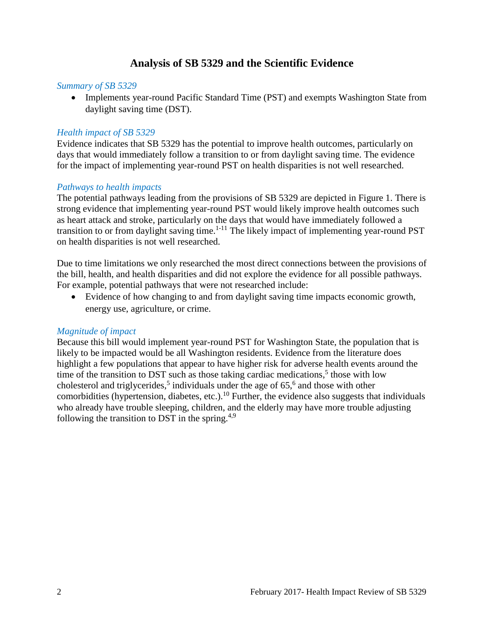# **Analysis of SB 5329 and the Scientific Evidence**

#### <span id="page-3-0"></span>*Summary of SB 5329*

• Implements year-round Pacific Standard Time (PST) and exempts Washington State from daylight saving time (DST).

#### *Health impact of SB 5329*

Evidence indicates that SB 5329 has the potential to improve health outcomes, particularly on days that would immediately follow a transition to or from daylight saving time. The evidence for the impact of implementing year-round PST on health disparities is not well researched.

#### *Pathways to health impacts*

The potential pathways leading from the provisions of SB 5329 are depicted in Figure 1. There is strong evidence that implementing year-round PST would likely improve health outcomes such as heart attack and stroke, particularly on the days that would have immediately followed a transition to or from daylight saving time.<sup>1-11</sup> The likely impact of implementing year-round PST on health disparities is not well researched.

Due to time limitations we only researched the most direct connections between the provisions of the bill, health, and health disparities and did not explore the evidence for all possible pathways. For example, potential pathways that were not researched include:

 Evidence of how changing to and from daylight saving time impacts economic growth, energy use, agriculture, or crime.

#### *Magnitude of impact*

Because this bill would implement year-round PST for Washington State, the population that is likely to be impacted would be all Washington residents. Evidence from the literature does highlight a few populations that appear to have higher risk for adverse health events around the time of the transition to DST such as those taking cardiac medications,<sup>5</sup> those with low cholesterol and triglycerides,<sup>5</sup> individuals under the age of  $65$ ,<sup>6</sup> and those with other comorbidities (hypertension, diabetes, etc.).<sup>10</sup> Further, the evidence also suggests that individuals who already have trouble sleeping, children, and the elderly may have more trouble adjusting following the transition to DST in the spring.<sup>4,9</sup>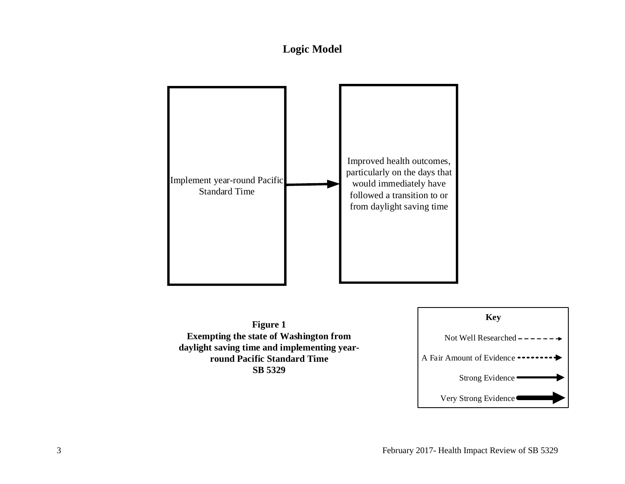# **Logic Model**

<span id="page-4-0"></span>

**Figure 1 Exempting the state of Washington from daylight saving time and implementing yearround Pacific Standard Time SB 5329**

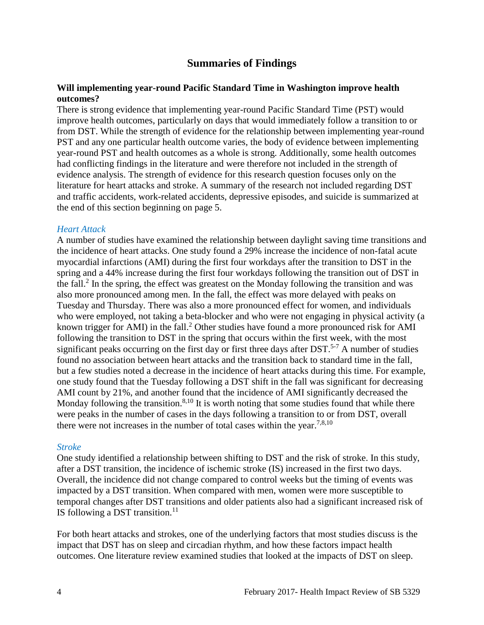# **Summaries of Findings**

#### <span id="page-5-0"></span>**Will implementing year-round Pacific Standard Time in Washington improve health outcomes?**

There is strong evidence that implementing year-round Pacific Standard Time (PST) would improve health outcomes, particularly on days that would immediately follow a transition to or from DST. While the strength of evidence for the relationship between implementing year-round PST and any one particular health outcome varies, the body of evidence between implementing year-round PST and health outcomes as a whole is strong. Additionally, some health outcomes had conflicting findings in the literature and were therefore not included in the strength of evidence analysis. The strength of evidence for this research question focuses only on the literature for heart attacks and stroke. A summary of the research not included regarding DST and traffic accidents, work-related accidents, depressive episodes, and suicide is summarized at the end of this section beginning on page 5.

#### *Heart Attack*

A number of studies have examined the relationship between daylight saving time transitions and the incidence of heart attacks. One study found a 29% increase the incidence of non-fatal acute myocardial infarctions (AMI) during the first four workdays after the transition to DST in the spring and a 44% increase during the first four workdays following the transition out of DST in the fall.<sup>2</sup> In the spring, the effect was greatest on the Monday following the transition and was also more pronounced among men. In the fall, the effect was more delayed with peaks on Tuesday and Thursday. There was also a more pronounced effect for women, and individuals who were employed, not taking a beta-blocker and who were not engaging in physical activity (a known trigger for AMI) in the fall.<sup>2</sup> Other studies have found a more pronounced risk for AMI following the transition to DST in the spring that occurs within the first week, with the most significant peaks occurring on the first day or first three days after DST.<sup>5-7</sup> A number of studies found no association between heart attacks and the transition back to standard time in the fall, but a few studies noted a decrease in the incidence of heart attacks during this time. For example, one study found that the Tuesday following a DST shift in the fall was significant for decreasing AMI count by 21%, and another found that the incidence of AMI significantly decreased the Monday following the transition.<sup>8,10</sup> It is worth noting that some studies found that while there were peaks in the number of cases in the days following a transition to or from DST, overall there were not increases in the number of total cases within the year.<sup>7,8,10</sup>

#### *Stroke*

One study identified a relationship between shifting to DST and the risk of stroke. In this study, after a DST transition, the incidence of ischemic stroke (IS) increased in the first two days. Overall, the incidence did not change compared to control weeks but the timing of events was impacted by a DST transition. When compared with men, women were more susceptible to temporal changes after DST transitions and older patients also had a significant increased risk of IS following a DST transition. $^{11}$ 

For both heart attacks and strokes, one of the underlying factors that most studies discuss is the impact that DST has on sleep and circadian rhythm, and how these factors impact health outcomes. One literature review examined studies that looked at the impacts of DST on sleep.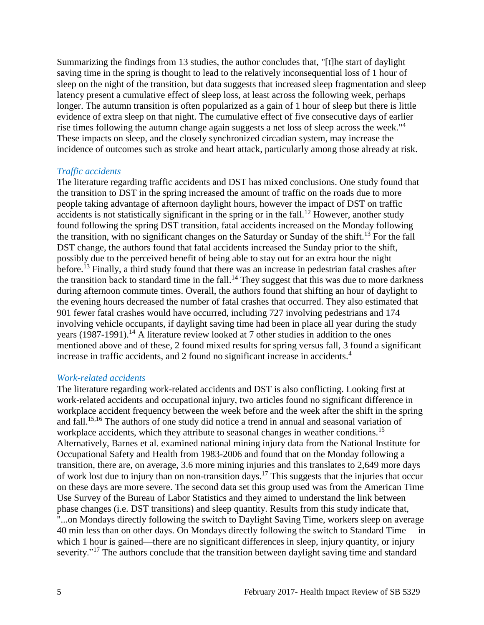Summarizing the findings from 13 studies, the author concludes that, "[t]he start of daylight saving time in the spring is thought to lead to the relatively inconsequential loss of 1 hour of sleep on the night of the transition, but data suggests that increased sleep fragmentation and sleep latency present a cumulative effect of sleep loss, at least across the following week, perhaps longer. The autumn transition is often popularized as a gain of 1 hour of sleep but there is little evidence of extra sleep on that night. The cumulative effect of five consecutive days of earlier rise times following the autumn change again suggests a net loss of sleep across the week."<sup>4</sup> These impacts on sleep, and the closely synchronized circadian system, may increase the incidence of outcomes such as stroke and heart attack, particularly among those already at risk.

#### *Traffic accidents*

The literature regarding traffic accidents and DST has mixed conclusions. One study found that the transition to DST in the spring increased the amount of traffic on the roads due to more people taking advantage of afternoon daylight hours, however the impact of DST on traffic accidents is not statistically significant in the spring or in the fall.<sup>12</sup> However, another study found following the spring DST transition, fatal accidents increased on the Monday following the transition, with no significant changes on the Saturday or Sunday of the shift.<sup>13</sup> For the fall DST change, the authors found that fatal accidents increased the Sunday prior to the shift, possibly due to the perceived benefit of being able to stay out for an extra hour the night before.<sup>13</sup> Finally, a third study found that there was an increase in pedestrian fatal crashes after the transition back to standard time in the fall.<sup>14</sup> They suggest that this was due to more darkness during afternoon commute times. Overall, the authors found that shifting an hour of daylight to the evening hours decreased the number of fatal crashes that occurred. They also estimated that 901 fewer fatal crashes would have occurred, including 727 involving pedestrians and 174 involving vehicle occupants, if daylight saving time had been in place all year during the study years (1987-1991).<sup>14</sup> A literature review looked at 7 other studies in addition to the ones mentioned above and of these, 2 found mixed results for spring versus fall, 3 found a significant increase in traffic accidents, and 2 found no significant increase in accidents.<sup>4</sup>

# *Work-related accidents*

The literature regarding work-related accidents and DST is also conflicting. Looking first at work-related accidents and occupational injury, two articles found no significant difference in workplace accident frequency between the week before and the week after the shift in the spring and fall. 15,16 The authors of one study did notice a trend in annual and seasonal variation of workplace accidents, which they attribute to seasonal changes in weather conditions.<sup>15</sup> Alternatively, Barnes et al. examined national mining injury data from the National Institute for Occupational Safety and Health from 1983-2006 and found that on the Monday following a transition, there are, on average, 3.6 more mining injuries and this translates to 2,649 more days of work lost due to injury than on non-transition days.<sup>17</sup> This suggests that the injuries that occur on these days are more severe. The second data set this group used was from the American Time Use Survey of the Bureau of Labor Statistics and they aimed to understand the link between phase changes (i.e. DST transitions) and sleep quantity. Results from this study indicate that, "...on Mondays directly following the switch to Daylight Saving Time, workers sleep on average 40 min less than on other days. On Mondays directly following the switch to Standard Time— in which 1 hour is gained—there are no significant differences in sleep, injury quantity, or injury severity."<sup>17</sup> The authors conclude that the transition between daylight saving time and standard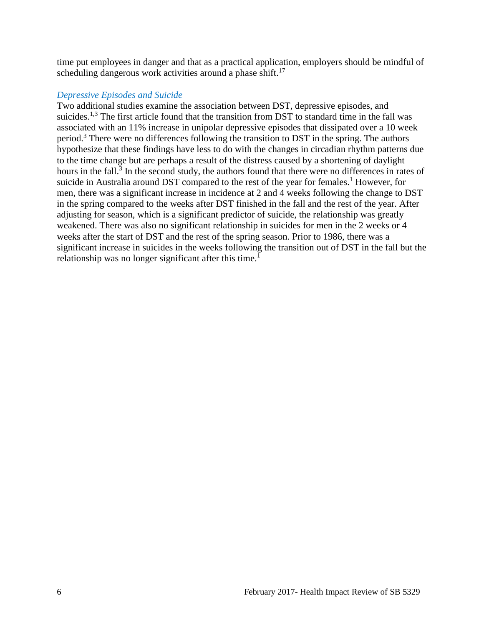time put employees in danger and that as a practical application, employers should be mindful of scheduling dangerous work activities around a phase shift.<sup>17</sup>

#### *Depressive Episodes and Suicide*

Two additional studies examine the association between DST, depressive episodes, and suicides.<sup>1,3</sup> The first article found that the transition from DST to standard time in the fall was associated with an 11% increase in unipolar depressive episodes that dissipated over a 10 week period.<sup>3</sup> There were no differences following the transition to DST in the spring. The authors hypothesize that these findings have less to do with the changes in circadian rhythm patterns due to the time change but are perhaps a result of the distress caused by a shortening of daylight hours in the fall.<sup>3</sup> In the second study, the authors found that there were no differences in rates of suicide in Australia around DST compared to the rest of the year for females.<sup>1</sup> However, for men, there was a significant increase in incidence at 2 and 4 weeks following the change to DST in the spring compared to the weeks after DST finished in the fall and the rest of the year. After adjusting for season, which is a significant predictor of suicide, the relationship was greatly weakened. There was also no significant relationship in suicides for men in the 2 weeks or 4 weeks after the start of DST and the rest of the spring season. Prior to 1986, there was a significant increase in suicides in the weeks following the transition out of DST in the fall but the relationship was no longer significant after this time.<sup>1</sup>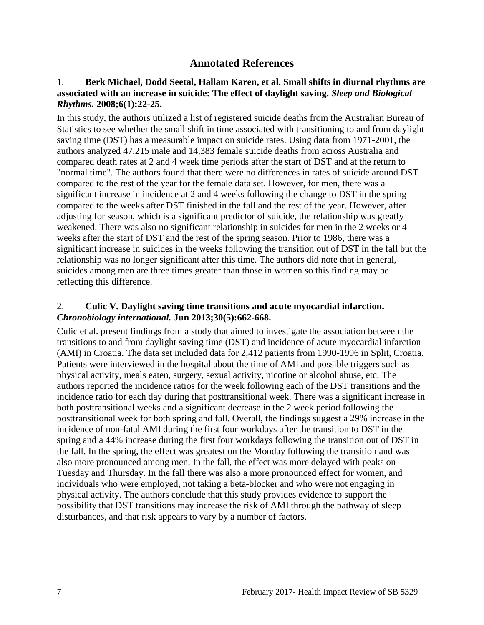# **Annotated References**

### 1. **Berk Michael, Dodd Seetal, Hallam Karen, et al. Small shifts in diurnal rhythms are associated with an increase in suicide: The effect of daylight saving.** *Sleep and Biological Rhythms.* **2008;6(1):22-25.**

In this study, the authors utilized a list of registered suicide deaths from the Australian Bureau of Statistics to see whether the small shift in time associated with transitioning to and from daylight saving time (DST) has a measurable impact on suicide rates. Using data from 1971-2001, the authors analyzed 47,215 male and 14,383 female suicide deaths from across Australia and compared death rates at 2 and 4 week time periods after the start of DST and at the return to "normal time". The authors found that there were no differences in rates of suicide around DST compared to the rest of the year for the female data set. However, for men, there was a significant increase in incidence at 2 and 4 weeks following the change to DST in the spring compared to the weeks after DST finished in the fall and the rest of the year. However, after adjusting for season, which is a significant predictor of suicide, the relationship was greatly weakened. There was also no significant relationship in suicides for men in the 2 weeks or 4 weeks after the start of DST and the rest of the spring season. Prior to 1986, there was a significant increase in suicides in the weeks following the transition out of DST in the fall but the relationship was no longer significant after this time. The authors did note that in general, suicides among men are three times greater than those in women so this finding may be reflecting this difference.

#### 2. **Culic V. Daylight saving time transitions and acute myocardial infarction.**  *Chronobiology international.* **Jun 2013;30(5):662-668.**

Culic et al. present findings from a study that aimed to investigate the association between the transitions to and from daylight saving time (DST) and incidence of acute myocardial infarction (AMI) in Croatia. The data set included data for 2,412 patients from 1990-1996 in Split, Croatia. Patients were interviewed in the hospital about the time of AMI and possible triggers such as physical activity, meals eaten, surgery, sexual activity, nicotine or alcohol abuse, etc. The authors reported the incidence ratios for the week following each of the DST transitions and the incidence ratio for each day during that posttransitional week. There was a significant increase in both posttransitional weeks and a significant decrease in the 2 week period following the posttransitional week for both spring and fall. Overall, the findings suggest a 29% increase in the incidence of non-fatal AMI during the first four workdays after the transition to DST in the spring and a 44% increase during the first four workdays following the transition out of DST in the fall. In the spring, the effect was greatest on the Monday following the transition and was also more pronounced among men. In the fall, the effect was more delayed with peaks on Tuesday and Thursday. In the fall there was also a more pronounced effect for women, and individuals who were employed, not taking a beta-blocker and who were not engaging in physical activity. The authors conclude that this study provides evidence to support the possibility that DST transitions may increase the risk of AMI through the pathway of sleep disturbances, and that risk appears to vary by a number of factors.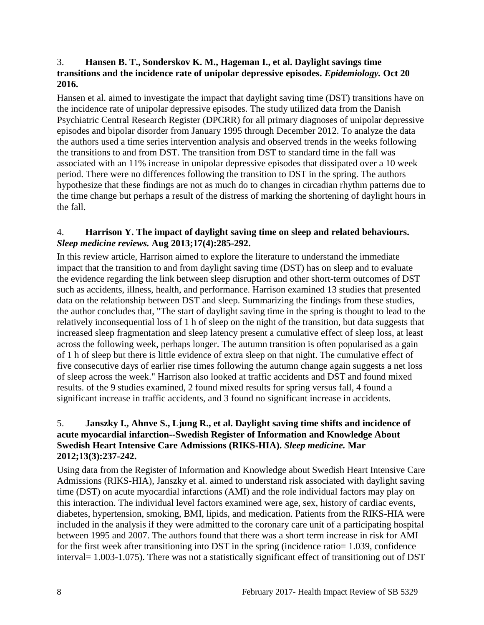# 3. **Hansen B. T., Sonderskov K. M., Hageman I., et al. Daylight savings time transitions and the incidence rate of unipolar depressive episodes.** *Epidemiology.* **Oct 20 2016.**

Hansen et al. aimed to investigate the impact that daylight saving time (DST) transitions have on the incidence rate of unipolar depressive episodes. The study utilized data from the Danish Psychiatric Central Research Register (DPCRR) for all primary diagnoses of unipolar depressive episodes and bipolar disorder from January 1995 through December 2012. To analyze the data the authors used a time series intervention analysis and observed trends in the weeks following the transitions to and from DST. The transition from DST to standard time in the fall was associated with an 11% increase in unipolar depressive episodes that dissipated over a 10 week period. There were no differences following the transition to DST in the spring. The authors hypothesize that these findings are not as much do to changes in circadian rhythm patterns due to the time change but perhaps a result of the distress of marking the shortening of daylight hours in the fall.

# 4. **Harrison Y. The impact of daylight saving time on sleep and related behaviours.**  *Sleep medicine reviews.* **Aug 2013;17(4):285-292.**

In this review article, Harrison aimed to explore the literature to understand the immediate impact that the transition to and from daylight saving time (DST) has on sleep and to evaluate the evidence regarding the link between sleep disruption and other short-term outcomes of DST such as accidents, illness, health, and performance. Harrison examined 13 studies that presented data on the relationship between DST and sleep. Summarizing the findings from these studies, the author concludes that, "The start of daylight saving time in the spring is thought to lead to the relatively inconsequential loss of 1 h of sleep on the night of the transition, but data suggests that increased sleep fragmentation and sleep latency present a cumulative effect of sleep loss, at least across the following week, perhaps longer. The autumn transition is often popularised as a gain of 1 h of sleep but there is little evidence of extra sleep on that night. The cumulative effect of five consecutive days of earlier rise times following the autumn change again suggests a net loss of sleep across the week." Harrison also looked at traffic accidents and DST and found mixed results. of the 9 studies examined, 2 found mixed results for spring versus fall, 4 found a significant increase in traffic accidents, and 3 found no significant increase in accidents.

# 5. **Janszky I., Ahnve S., Ljung R., et al. Daylight saving time shifts and incidence of acute myocardial infarction--Swedish Register of Information and Knowledge About Swedish Heart Intensive Care Admissions (RIKS-HIA).** *Sleep medicine.* **Mar 2012;13(3):237-242.**

Using data from the Register of Information and Knowledge about Swedish Heart Intensive Care Admissions (RIKS-HIA), Janszky et al. aimed to understand risk associated with daylight saving time (DST) on acute myocardial infarctions (AMI) and the role individual factors may play on this interaction. The individual level factors examined were age, sex, history of cardiac events, diabetes, hypertension, smoking, BMI, lipids, and medication. Patients from the RIKS-HIA were included in the analysis if they were admitted to the coronary care unit of a participating hospital between 1995 and 2007. The authors found that there was a short term increase in risk for AMI for the first week after transitioning into DST in the spring (incidence ratio= 1.039, confidence interval= 1.003-1.075). There was not a statistically significant effect of transitioning out of DST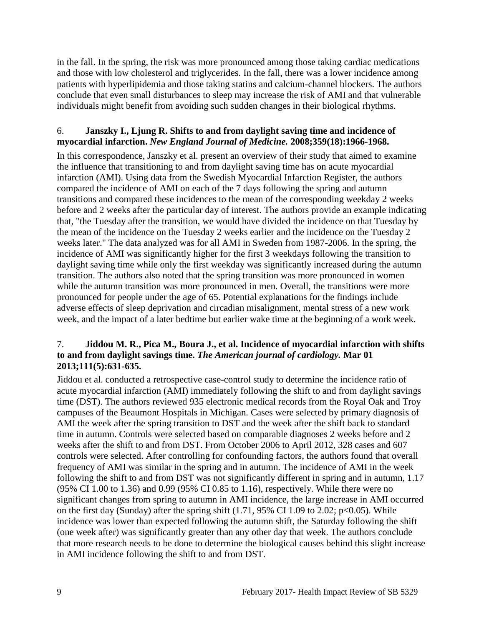in the fall. In the spring, the risk was more pronounced among those taking cardiac medications and those with low cholesterol and triglycerides. In the fall, there was a lower incidence among patients with hyperlipidemia and those taking statins and calcium-channel blockers. The authors conclude that even small disturbances to sleep may increase the risk of AMI and that vulnerable individuals might benefit from avoiding such sudden changes in their biological rhythms.

# 6. **Janszky I., Ljung R. Shifts to and from daylight saving time and incidence of myocardial infarction.** *New England Journal of Medicine.* **2008;359(18):1966-1968.**

In this correspondence, Janszky et al. present an overview of their study that aimed to examine the influence that transitioning to and from daylight saving time has on acute myocardial infarction (AMI). Using data from the Swedish Myocardial Infarction Register, the authors compared the incidence of AMI on each of the 7 days following the spring and autumn transitions and compared these incidences to the mean of the corresponding weekday 2 weeks before and 2 weeks after the particular day of interest. The authors provide an example indicating that, "the Tuesday after the transition, we would have divided the incidence on that Tuesday by the mean of the incidence on the Tuesday 2 weeks earlier and the incidence on the Tuesday 2 weeks later." The data analyzed was for all AMI in Sweden from 1987-2006. In the spring, the incidence of AMI was significantly higher for the first 3 weekdays following the transition to daylight saving time while only the first weekday was significantly increased during the autumn transition. The authors also noted that the spring transition was more pronounced in women while the autumn transition was more pronounced in men. Overall, the transitions were more pronounced for people under the age of 65. Potential explanations for the findings include adverse effects of sleep deprivation and circadian misalignment, mental stress of a new work week, and the impact of a later bedtime but earlier wake time at the beginning of a work week.

# 7. **Jiddou M. R., Pica M., Boura J., et al. Incidence of myocardial infarction with shifts to and from daylight savings time.** *The American journal of cardiology.* **Mar 01 2013;111(5):631-635.**

Jiddou et al. conducted a retrospective case-control study to determine the incidence ratio of acute myocardial infarction (AMI) immediately following the shift to and from daylight savings time (DST). The authors reviewed 935 electronic medical records from the Royal Oak and Troy campuses of the Beaumont Hospitals in Michigan. Cases were selected by primary diagnosis of AMI the week after the spring transition to DST and the week after the shift back to standard time in autumn. Controls were selected based on comparable diagnoses 2 weeks before and 2 weeks after the shift to and from DST. From October 2006 to April 2012, 328 cases and 607 controls were selected. After controlling for confounding factors, the authors found that overall frequency of AMI was similar in the spring and in autumn. The incidence of AMI in the week following the shift to and from DST was not significantly different in spring and in autumn, 1.17 (95% CI 1.00 to 1.36) and 0.99 (95% CI 0.85 to 1.16), respectively. While there were no significant changes from spring to autumn in AMI incidence, the large increase in AMI occurred on the first day (Sunday) after the spring shift  $(1.71, 95\% \text{ CI } 1.09 \text{ to } 2.02; \text{ p} < 0.05)$ . While incidence was lower than expected following the autumn shift, the Saturday following the shift (one week after) was significantly greater than any other day that week. The authors conclude that more research needs to be done to determine the biological causes behind this slight increase in AMI incidence following the shift to and from DST.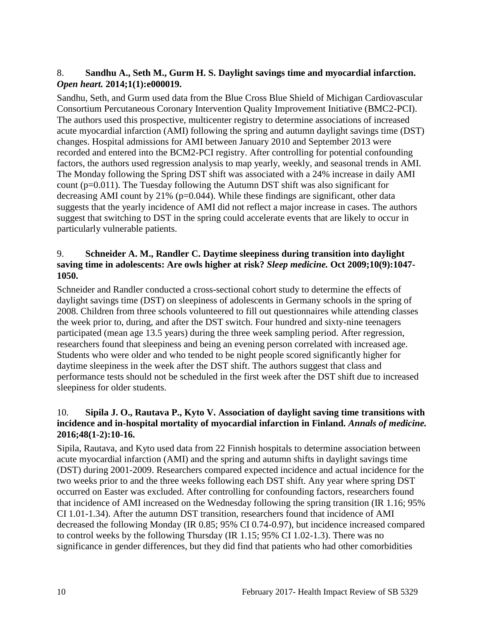# 8. **Sandhu A., Seth M., Gurm H. S. Daylight savings time and myocardial infarction.**  *Open heart.* **2014;1(1):e000019.**

Sandhu, Seth, and Gurm used data from the Blue Cross Blue Shield of Michigan Cardiovascular Consortium Percutaneous Coronary Intervention Quality Improvement Initiative (BMC2-PCI). The authors used this prospective, multicenter registry to determine associations of increased acute myocardial infarction (AMI) following the spring and autumn daylight savings time (DST) changes. Hospital admissions for AMI between January 2010 and September 2013 were recorded and entered into the BCM2-PCI registry. After controlling for potential confounding factors, the authors used regression analysis to map yearly, weekly, and seasonal trends in AMI. The Monday following the Spring DST shift was associated with a 24% increase in daily AMI count (p=0.011). The Tuesday following the Autumn DST shift was also significant for decreasing AMI count by 21% (p=0.044). While these findings are significant, other data suggests that the yearly incidence of AMI did not reflect a major increase in cases. The authors suggest that switching to DST in the spring could accelerate events that are likely to occur in particularly vulnerable patients.

# 9. **Schneider A. M., Randler C. Daytime sleepiness during transition into daylight saving time in adolescents: Are owls higher at risk?** *Sleep medicine.* **Oct 2009;10(9):1047- 1050.**

Schneider and Randler conducted a cross-sectional cohort study to determine the effects of daylight savings time (DST) on sleepiness of adolescents in Germany schools in the spring of 2008. Children from three schools volunteered to fill out questionnaires while attending classes the week prior to, during, and after the DST switch. Four hundred and sixty-nine teenagers participated (mean age 13.5 years) during the three week sampling period. After regression, researchers found that sleepiness and being an evening person correlated with increased age. Students who were older and who tended to be night people scored significantly higher for daytime sleepiness in the week after the DST shift. The authors suggest that class and performance tests should not be scheduled in the first week after the DST shift due to increased sleepiness for older students.

# 10. **Sipila J. O., Rautava P., Kyto V. Association of daylight saving time transitions with incidence and in-hospital mortality of myocardial infarction in Finland.** *Annals of medicine.*  **2016;48(1-2):10-16.**

Sipila, Rautava, and Kyto used data from 22 Finnish hospitals to determine association between acute myocardial infarction (AMI) and the spring and autumn shifts in daylight savings time (DST) during 2001-2009. Researchers compared expected incidence and actual incidence for the two weeks prior to and the three weeks following each DST shift. Any year where spring DST occurred on Easter was excluded. After controlling for confounding factors, researchers found that incidence of AMI increased on the Wednesday following the spring transition (IR 1.16; 95% CI 1.01-1.34). After the autumn DST transition, researchers found that incidence of AMI decreased the following Monday (IR 0.85; 95% CI 0.74-0.97), but incidence increased compared to control weeks by the following Thursday (IR 1.15; 95% CI 1.02-1.3). There was no significance in gender differences, but they did find that patients who had other comorbidities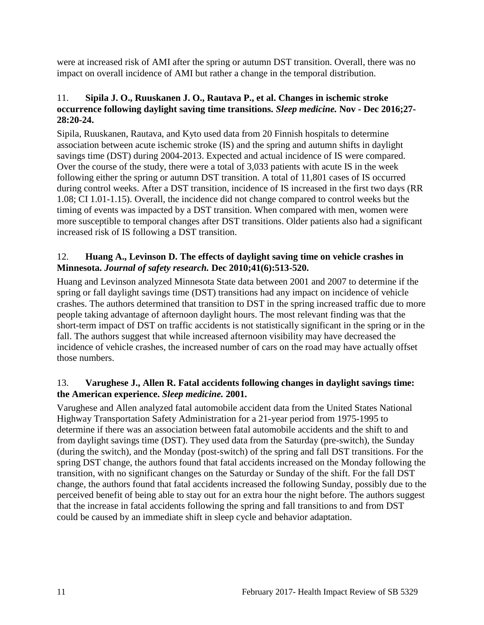were at increased risk of AMI after the spring or autumn DST transition. Overall, there was no impact on overall incidence of AMI but rather a change in the temporal distribution.

# 11. **Sipila J. O., Ruuskanen J. O., Rautava P., et al. Changes in ischemic stroke occurrence following daylight saving time transitions.** *Sleep medicine.* **Nov - Dec 2016;27- 28:20-24.**

Sipila, Ruuskanen, Rautava, and Kyto used data from 20 Finnish hospitals to determine association between acute ischemic stroke (IS) and the spring and autumn shifts in daylight savings time (DST) during 2004-2013. Expected and actual incidence of IS were compared. Over the course of the study, there were a total of 3,033 patients with acute IS in the week following either the spring or autumn DST transition. A total of 11,801 cases of IS occurred during control weeks. After a DST transition, incidence of IS increased in the first two days (RR 1.08; CI 1.01-1.15). Overall, the incidence did not change compared to control weeks but the timing of events was impacted by a DST transition. When compared with men, women were more susceptible to temporal changes after DST transitions. Older patients also had a significant increased risk of IS following a DST transition.

# 12. **Huang A., Levinson D. The effects of daylight saving time on vehicle crashes in Minnesota.** *Journal of safety research.* **Dec 2010;41(6):513-520.**

Huang and Levinson analyzed Minnesota State data between 2001 and 2007 to determine if the spring or fall daylight savings time (DST) transitions had any impact on incidence of vehicle crashes. The authors determined that transition to DST in the spring increased traffic due to more people taking advantage of afternoon daylight hours. The most relevant finding was that the short-term impact of DST on traffic accidents is not statistically significant in the spring or in the fall. The authors suggest that while increased afternoon visibility may have decreased the incidence of vehicle crashes, the increased number of cars on the road may have actually offset those numbers.

# 13. **Varughese J., Allen R. Fatal accidents following changes in daylight savings time: the American experience.** *Sleep medicine.* **2001.**

Varughese and Allen analyzed fatal automobile accident data from the United States National Highway Transportation Safety Administration for a 21-year period from 1975-1995 to determine if there was an association between fatal automobile accidents and the shift to and from daylight savings time (DST). They used data from the Saturday (pre-switch), the Sunday (during the switch), and the Monday (post-switch) of the spring and fall DST transitions. For the spring DST change, the authors found that fatal accidents increased on the Monday following the transition, with no significant changes on the Saturday or Sunday of the shift. For the fall DST change, the authors found that fatal accidents increased the following Sunday, possibly due to the perceived benefit of being able to stay out for an extra hour the night before. The authors suggest that the increase in fatal accidents following the spring and fall transitions to and from DST could be caused by an immediate shift in sleep cycle and behavior adaptation.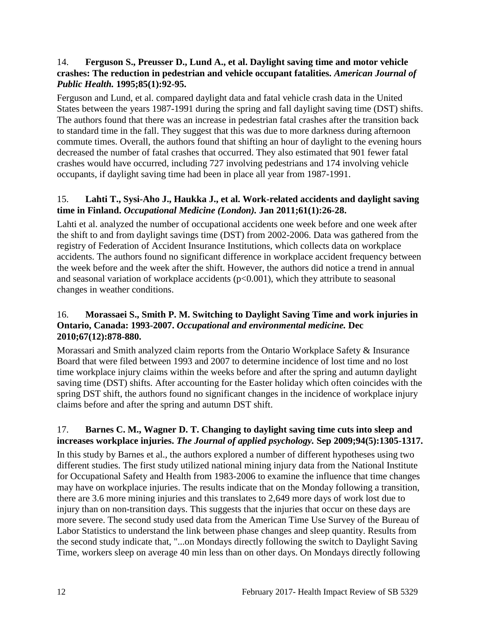# 14. **Ferguson S., Preusser D., Lund A., et al. Daylight saving time and motor vehicle crashes: The reduction in pedestrian and vehicle occupant fatalities.** *American Journal of Public Health.* **1995;85(1):92-95.**

Ferguson and Lund, et al. compared daylight data and fatal vehicle crash data in the United States between the years 1987-1991 during the spring and fall daylight saving time (DST) shifts. The authors found that there was an increase in pedestrian fatal crashes after the transition back to standard time in the fall. They suggest that this was due to more darkness during afternoon commute times. Overall, the authors found that shifting an hour of daylight to the evening hours decreased the number of fatal crashes that occurred. They also estimated that 901 fewer fatal crashes would have occurred, including 727 involving pedestrians and 174 involving vehicle occupants, if daylight saving time had been in place all year from 1987-1991.

# 15. **Lahti T., Sysi-Aho J., Haukka J., et al. Work-related accidents and daylight saving time in Finland.** *Occupational Medicine (London).* **Jan 2011;61(1):26-28.**

Lahti et al. analyzed the number of occupational accidents one week before and one week after the shift to and from daylight savings time (DST) from 2002-2006. Data was gathered from the registry of Federation of Accident Insurance Institutions, which collects data on workplace accidents. The authors found no significant difference in workplace accident frequency between the week before and the week after the shift. However, the authors did notice a trend in annual and seasonal variation of workplace accidents  $(p<0.001)$ , which they attribute to seasonal changes in weather conditions.

# 16. **Morassaei S., Smith P. M. Switching to Daylight Saving Time and work injuries in Ontario, Canada: 1993-2007.** *Occupational and environmental medicine.* **Dec 2010;67(12):878-880.**

Morassari and Smith analyzed claim reports from the Ontario Workplace Safety & Insurance Board that were filed between 1993 and 2007 to determine incidence of lost time and no lost time workplace injury claims within the weeks before and after the spring and autumn daylight saving time (DST) shifts. After accounting for the Easter holiday which often coincides with the spring DST shift, the authors found no significant changes in the incidence of workplace injury claims before and after the spring and autumn DST shift.

# 17. **Barnes C. M., Wagner D. T. Changing to daylight saving time cuts into sleep and increases workplace injuries.** *The Journal of applied psychology.* **Sep 2009;94(5):1305-1317.**

In this study by Barnes et al., the authors explored a number of different hypotheses using two different studies. The first study utilized national mining injury data from the National Institute for Occupational Safety and Health from 1983-2006 to examine the influence that time changes may have on workplace injuries. The results indicate that on the Monday following a transition, there are 3.6 more mining injuries and this translates to 2,649 more days of work lost due to injury than on non-transition days. This suggests that the injuries that occur on these days are more severe. The second study used data from the American Time Use Survey of the Bureau of Labor Statistics to understand the link between phase changes and sleep quantity. Results from the second study indicate that, "...on Mondays directly following the switch to Daylight Saving Time, workers sleep on average 40 min less than on other days. On Mondays directly following